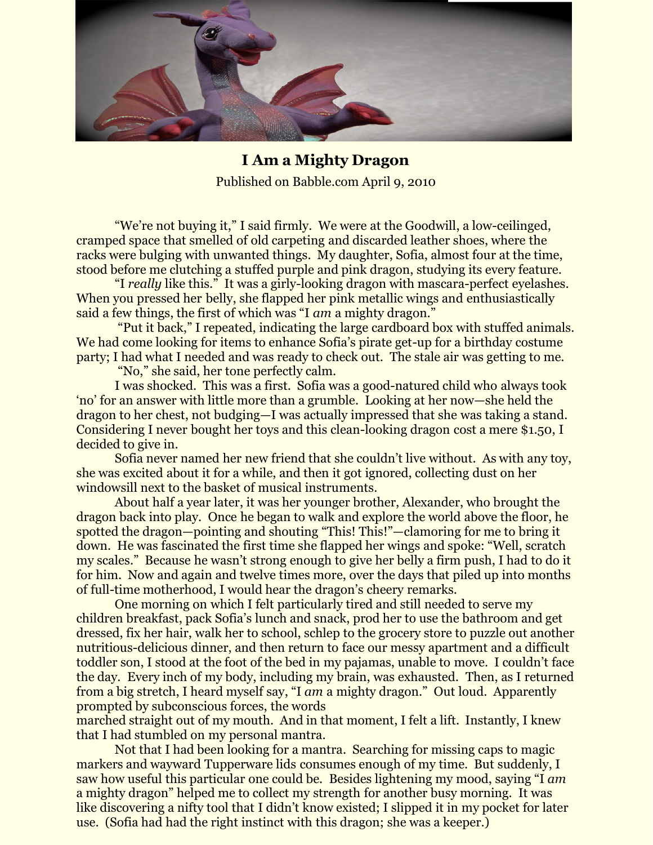

**I Am a Mighty Dragon**  Published on Babble.com April 9, 2010

"We're not buying it," I said firmly. We were at the Goodwill, a low-ceilinged, cramped space that smelled of old carpeting and discarded leather shoes, where the racks were bulging with unwanted things. My daughter, Sofia, almost four at the time, stood before me clutching a stuffed purple and pink dragon, studying its every feature.

"I *really* like this." It was a girly-looking dragon with mascara-perfect eyelashes. When you pressed her belly, she flapped her pink metallic wings and enthusiastically said a few things, the first of which was "I *am* a mighty dragon."

"Put it back," I repeated, indicating the large cardboard box with stuffed animals. We had come looking for items to enhance Sofia's pirate get-up for a birthday costume party; I had what I needed and was ready to check out. The stale air was getting to me.

"No," she said, her tone perfectly calm.

I was shocked. This was a first. Sofia was a good-natured child who always took 'no' for an answer with little more than a grumble. Looking at her now—she held the dragon to her chest, not budging—I was actually impressed that she was taking a stand. Considering I never bought her toys and this clean-looking dragon cost a mere \$1.50, I decided to give in.

Sofia never named her new friend that she couldn't live without. As with any toy, she was excited about it for a while, and then it got ignored, collecting dust on her windowsill next to the basket of musical instruments.

About half a year later, it was her younger brother, Alexander, who brought the dragon back into play. Once he began to walk and explore the world above the floor, he spotted the dragon—pointing and shouting "This! This!"—clamoring for me to bring it down. He was fascinated the first time she flapped her wings and spoke: "Well, scratch my scales." Because he wasn't strong enough to give her belly a firm push, I had to do it for him. Now and again and twelve times more, over the days that piled up into months of full-time motherhood, I would hear the dragon's cheery remarks.

One morning on which I felt particularly tired and still needed to serve my children breakfast, pack Sofia's lunch and snack, prod her to use the bathroom and get dressed, fix her hair, walk her to school, schlep to the grocery store to puzzle out another nutritious-delicious dinner, and then return to face our messy apartment and a difficult toddler son, I stood at the foot of the bed in my pajamas, unable to move. I couldn't face the day. Every inch of my body, including my brain, was exhausted. Then, as I returned from a big stretch, I heard myself say, "I *am* a mighty dragon." Out loud. Apparently prompted by subconscious forces, the words

marched straight out of my mouth. And in that moment, I felt a lift. Instantly, I knew that I had stumbled on my personal mantra.

Not that I had been looking for a mantra. Searching for missing caps to magic markers and wayward Tupperware lids consumes enough of my time. But suddenly, I saw how useful this particular one could be. Besides lightening my mood, saying "I *am* a mighty dragon" helped me to collect my strength for another busy morning. It was like discovering a nifty tool that I didn't know existed; I slipped it in my pocket for later use. (Sofia had had the right instinct with this dragon; she was a keeper.)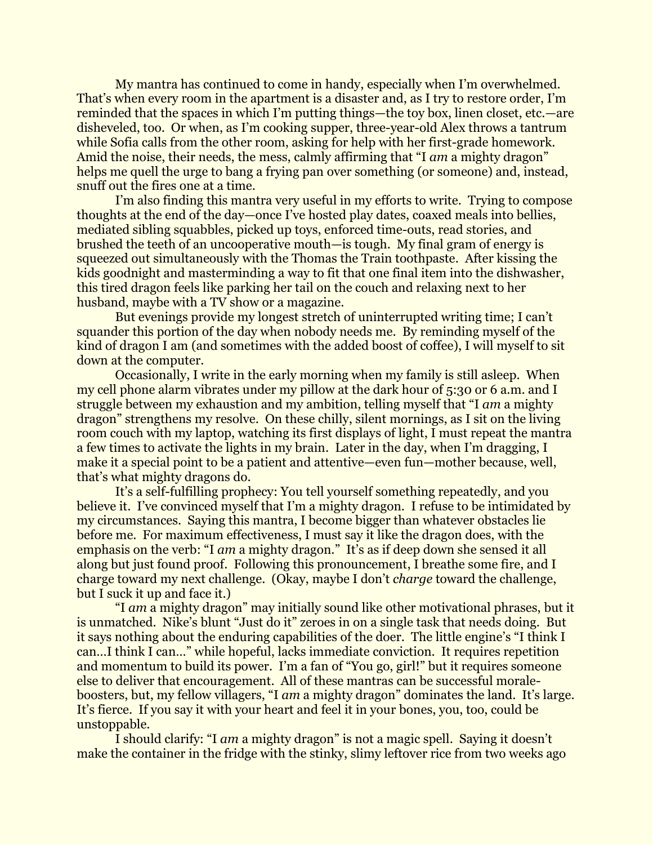My mantra has continued to come in handy, especially when I'm overwhelmed. That's when every room in the apartment is a disaster and, as I try to restore order, I'm reminded that the spaces in which I'm putting things—the toy box, linen closet, etc.—are disheveled, too. Or when, as I'm cooking supper, three-year-old Alex throws a tantrum while Sofia calls from the other room, asking for help with her first-grade homework. Amid the noise, their needs, the mess, calmly affirming that "I *am* a mighty dragon" helps me quell the urge to bang a frying pan over something (or someone) and, instead, snuff out the fires one at a time.

I'm also finding this mantra very useful in my efforts to write. Trying to compose thoughts at the end of the day—once I've hosted play dates, coaxed meals into bellies, mediated sibling squabbles, picked up toys, enforced time-outs, read stories, and brushed the teeth of an uncooperative mouth—is tough. My final gram of energy is squeezed out simultaneously with the Thomas the Train toothpaste. After kissing the kids goodnight and masterminding a way to fit that one final item into the dishwasher, this tired dragon feels like parking her tail on the couch and relaxing next to her husband, maybe with a TV show or a magazine.

But evenings provide my longest stretch of uninterrupted writing time; I can't squander this portion of the day when nobody needs me. By reminding myself of the kind of dragon I am (and sometimes with the added boost of coffee), I will myself to sit down at the computer.

Occasionally, I write in the early morning when my family is still asleep. When my cell phone alarm vibrates under my pillow at the dark hour of 5:30 or 6 a.m. and I struggle between my exhaustion and my ambition, telling myself that "I *am* a mighty dragon" strengthens my resolve. On these chilly, silent mornings, as I sit on the living room couch with my laptop, watching its first displays of light, I must repeat the mantra a few times to activate the lights in my brain. Later in the day, when I'm dragging, I make it a special point to be a patient and attentive—even fun—mother because, well, that's what mighty dragons do.

It's a self-fulfilling prophecy: You tell yourself something repeatedly, and you believe it. I've convinced myself that I'm a mighty dragon. I refuse to be intimidated by my circumstances. Saying this mantra, I become bigger than whatever obstacles lie before me. For maximum effectiveness, I must say it like the dragon does, with the emphasis on the verb: "I *am* a mighty dragon." It's as if deep down she sensed it all along but just found proof. Following this pronouncement, I breathe some fire, and I charge toward my next challenge. (Okay, maybe I don't *charge* toward the challenge, but I suck it up and face it.)

"I *am* a mighty dragon" may initially sound like other motivational phrases, but it is unmatched. Nike's blunt "Just do it" zeroes in on a single task that needs doing. But it says nothing about the enduring capabilities of the doer. The little engine's "I think I can…I think I can…" while hopeful, lacks immediate conviction. It requires repetition and momentum to build its power. I'm a fan of "You go, girl!" but it requires someone else to deliver that encouragement. All of these mantras can be successful moraleboosters, but, my fellow villagers, "I *am* a mighty dragon" dominates the land. It's large. It's fierce. If you say it with your heart and feel it in your bones, you, too, could be unstoppable.

I should clarify: "I *am* a mighty dragon" is not a magic spell. Saying it doesn't make the container in the fridge with the stinky, slimy leftover rice from two weeks ago